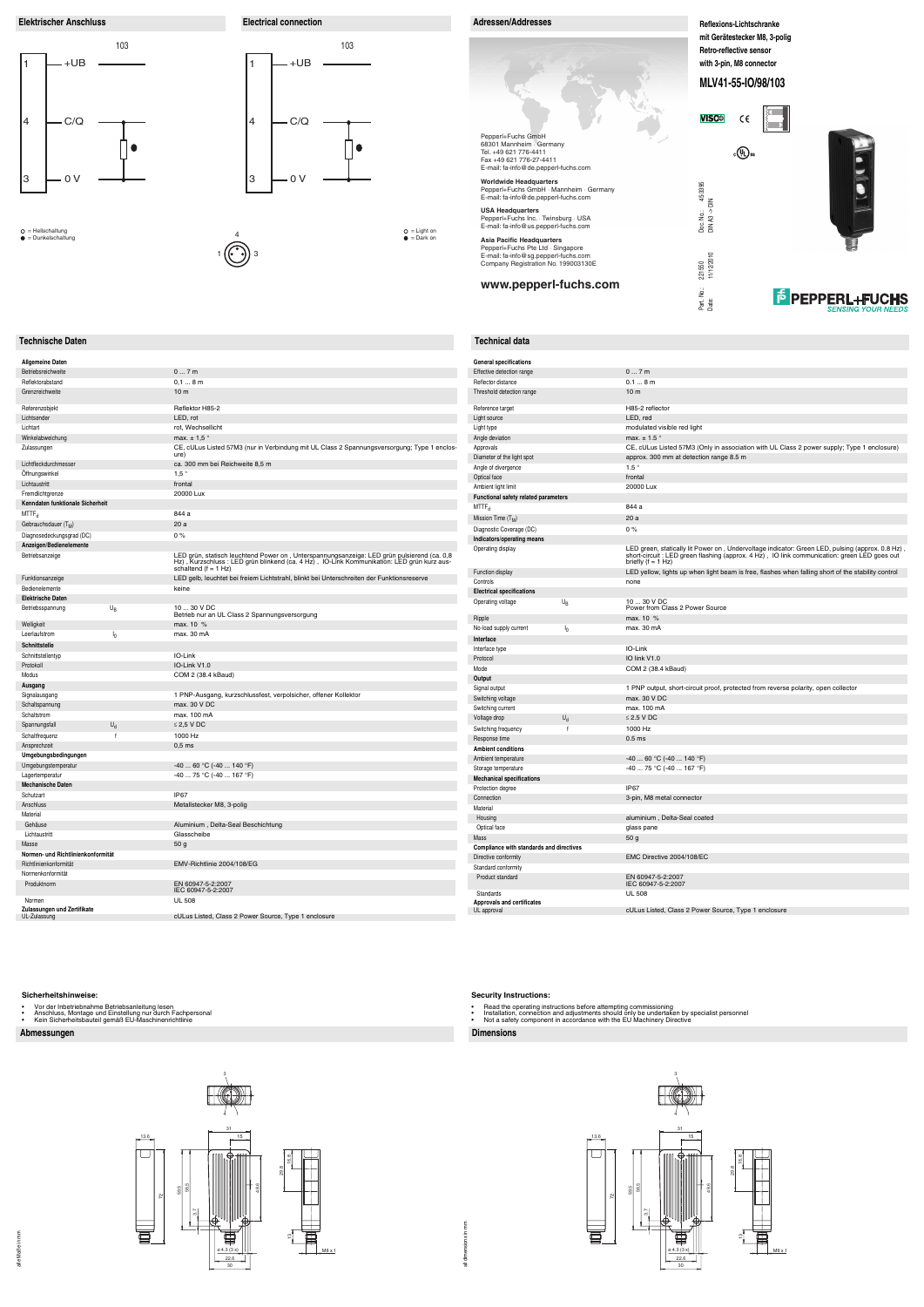alle Maße in mm

alle Maße in mm

## **Abmessungen Dimensions**

## **Technische Daten Technical data**

## **Sicherheitshinweise:**

- 
- Vor der Inbetriebnahme Betriebsanleitung lesen Anschluss, Montage und Einstellung nur durch Fachpersonal Kein Sicherheitsbauteil gemäß EU-Maschinenrichtlinie
- 

## **Security Instructions:**

- 
- Read the operating instructions before attempting commissioning<br>• Installation, connection and adjustments should only be undertaken by specialist personnel<br>• Not a safety component in accordance with the EU
- 





**F** PEPPERL+FUCHS

30



**Elektrischer Anschluss Electrical connection Adressen/Addresses Adressen/Addresses** 103 +UB 1 4 C/Q  $\bullet$ 3 0 V

M8 x 1



| 07m<br>Betriebsreichweite<br>Effectiv<br>Reflect<br>Reflektorabstand<br>$0,18$ m<br>Grenzreichweite<br>10 <sub>m</sub><br>Thresh<br>Referenzobjekt<br>Reflektor H85-2<br>Referer<br>Lichtsender<br>LED, rot<br>Light so<br>Lichtart<br>rot, Wechsellicht<br>Light ty<br>max. $\pm$ 1,5 $^{\circ}$<br>Winkelabweichung<br>Angle o<br>Zulassungen<br>CE, cULus Listed 57M3 (nur in Verbindung mit UL Class 2 Spannungsversorgung; Type 1 enclos-<br>Approv<br>ure)<br>Diamet<br>Lichtfleckdurchmesser<br>ca. 300 mm bei Reichweite 8,5 m<br>Angle o<br>$1,5$ °<br>Offnungswinkel<br>Optical<br>Lichtaustritt<br>frontal<br>Ambier<br>20000 Lux<br>Fremdlichtgrenze<br>Functi<br>Kenndaten funktionale Sicherheit<br>$MTTF_{d}$<br>844 a<br>$MTTF_d$<br>Missior<br>20 a<br>Gebrauchsdauer (T <sub>M</sub> )<br>Diagno<br>Diagnosedeckungsgrad (DC)<br>0%<br>Indicat<br>Anzeigen/Bedienelemente<br>Operat<br>LED grün, statisch leuchtend Power on, Unterspannungsanzeige: LED grün pulsierend (ca. 0,8<br>Betriebsanzeige<br>Hz), Kurzschluss : LED grün blinkend (ca. 4 Hz), IO-Link Kommunikation: LED grün kurz aus-<br>schaltend $(f = 1 Hz)$<br>Functio<br>Funktionsanzeige<br>LED gelb, leuchtet bei freiem Lichtstrahl, blinkt bei Unterschreiten der Funktionsreserve<br>Control<br>keine<br>Bedienelemente<br>Electri<br><b>Elektrische Daten</b><br>Operat<br>U <sub>B</sub><br>10  30 V DC<br>Betriebsspannung<br>Betrieb nur an UL Class 2 Spannungsversorgung<br>Ripple<br>Welligkeit<br>max. 10 %<br>No-loa<br>$I_0$<br>max. 30 mA<br>Leerlaufstrom<br>Interfa<br>Schnittstelle<br>Interfac<br>IO-Link<br>Schnittstellentyp<br>Protoco<br>IO-Link V1.0<br>Protokoll<br>Mode<br>COM 2 (38.4 kBaud)<br>Modus<br>Output<br>Ausgang<br>Signal<br>Signalausgang<br>1 PNP-Ausgang, kurzschlussfest, verpolsicher, offener Kollektor<br>Switchi<br>max. 30 V DC<br>Schaltspannung<br>Switchi<br>Schaltstrom<br>max. 100 mA<br>Voltage<br>$U_d$<br>$\leq$ 2,5 V DC<br>Spannungsfall<br>Switchi<br>f<br>1000 Hz<br>Schaltfrequenz<br>Respor<br>Ansprechzeit<br>$0,5$ ms<br>Ambie<br>Umgebungsbedingungen<br>Ambier<br>$-40$ 60 °C (-40  140 °F)<br>Umgebungstemperatur<br>Storage<br>$-40$ 75 °C (-40  167 °F)<br>Lagertemperatur<br>Mecha<br><b>Mechanische Daten</b><br>Protect<br>IP67<br>Schutzart<br>Conner<br>Anschluss<br>Metallstecker M8, 3-polig<br>Materia<br>Material<br>Housi<br>Gehäuse<br>Aluminium, Delta-Seal Beschichtung<br>Optica<br>Lichtaustritt<br>Glasscheibe<br>Mass<br>Masse<br>50 g<br>Compl<br>Normen- und Richtlinienkonformität<br>Directiv<br>EMV-Richtlinie 2004/108/EG<br>Richtlinienkonformität<br>Standa<br>Normenkonformität<br>Produ<br>Produktnorm<br>EN 60947-5-2:2007<br>IEC 60947-5-2:2007<br>Stand<br>Normen<br><b>UL 508</b><br><b>Approv</b><br>Zulassungen und Zertifikate<br>UL app<br>UL-Zulassung<br>cULus Listed, Class 2 Power Source, Type 1 enclosure | <b>Allgemeine Daten</b> |  | Genera |
|-------------------------------------------------------------------------------------------------------------------------------------------------------------------------------------------------------------------------------------------------------------------------------------------------------------------------------------------------------------------------------------------------------------------------------------------------------------------------------------------------------------------------------------------------------------------------------------------------------------------------------------------------------------------------------------------------------------------------------------------------------------------------------------------------------------------------------------------------------------------------------------------------------------------------------------------------------------------------------------------------------------------------------------------------------------------------------------------------------------------------------------------------------------------------------------------------------------------------------------------------------------------------------------------------------------------------------------------------------------------------------------------------------------------------------------------------------------------------------------------------------------------------------------------------------------------------------------------------------------------------------------------------------------------------------------------------------------------------------------------------------------------------------------------------------------------------------------------------------------------------------------------------------------------------------------------------------------------------------------------------------------------------------------------------------------------------------------------------------------------------------------------------------------------------------------------------------------------------------------------------------------------------------------------------------------------------------------------------------------------------------------------------------------------------------------------------------------------------------------------------------------------------------------------------------------------------------------------------------------------------------------------------------------------------------------------------------------------------------------------------------------------------------------------------------------------------------------------------------------------------------------------------------------|-------------------------|--|--------|
|                                                                                                                                                                                                                                                                                                                                                                                                                                                                                                                                                                                                                                                                                                                                                                                                                                                                                                                                                                                                                                                                                                                                                                                                                                                                                                                                                                                                                                                                                                                                                                                                                                                                                                                                                                                                                                                                                                                                                                                                                                                                                                                                                                                                                                                                                                                                                                                                                                                                                                                                                                                                                                                                                                                                                                                                                                                                                                             |                         |  |        |
|                                                                                                                                                                                                                                                                                                                                                                                                                                                                                                                                                                                                                                                                                                                                                                                                                                                                                                                                                                                                                                                                                                                                                                                                                                                                                                                                                                                                                                                                                                                                                                                                                                                                                                                                                                                                                                                                                                                                                                                                                                                                                                                                                                                                                                                                                                                                                                                                                                                                                                                                                                                                                                                                                                                                                                                                                                                                                                             |                         |  |        |
|                                                                                                                                                                                                                                                                                                                                                                                                                                                                                                                                                                                                                                                                                                                                                                                                                                                                                                                                                                                                                                                                                                                                                                                                                                                                                                                                                                                                                                                                                                                                                                                                                                                                                                                                                                                                                                                                                                                                                                                                                                                                                                                                                                                                                                                                                                                                                                                                                                                                                                                                                                                                                                                                                                                                                                                                                                                                                                             |                         |  |        |
|                                                                                                                                                                                                                                                                                                                                                                                                                                                                                                                                                                                                                                                                                                                                                                                                                                                                                                                                                                                                                                                                                                                                                                                                                                                                                                                                                                                                                                                                                                                                                                                                                                                                                                                                                                                                                                                                                                                                                                                                                                                                                                                                                                                                                                                                                                                                                                                                                                                                                                                                                                                                                                                                                                                                                                                                                                                                                                             |                         |  |        |
|                                                                                                                                                                                                                                                                                                                                                                                                                                                                                                                                                                                                                                                                                                                                                                                                                                                                                                                                                                                                                                                                                                                                                                                                                                                                                                                                                                                                                                                                                                                                                                                                                                                                                                                                                                                                                                                                                                                                                                                                                                                                                                                                                                                                                                                                                                                                                                                                                                                                                                                                                                                                                                                                                                                                                                                                                                                                                                             |                         |  |        |
|                                                                                                                                                                                                                                                                                                                                                                                                                                                                                                                                                                                                                                                                                                                                                                                                                                                                                                                                                                                                                                                                                                                                                                                                                                                                                                                                                                                                                                                                                                                                                                                                                                                                                                                                                                                                                                                                                                                                                                                                                                                                                                                                                                                                                                                                                                                                                                                                                                                                                                                                                                                                                                                                                                                                                                                                                                                                                                             |                         |  |        |
|                                                                                                                                                                                                                                                                                                                                                                                                                                                                                                                                                                                                                                                                                                                                                                                                                                                                                                                                                                                                                                                                                                                                                                                                                                                                                                                                                                                                                                                                                                                                                                                                                                                                                                                                                                                                                                                                                                                                                                                                                                                                                                                                                                                                                                                                                                                                                                                                                                                                                                                                                                                                                                                                                                                                                                                                                                                                                                             |                         |  |        |
|                                                                                                                                                                                                                                                                                                                                                                                                                                                                                                                                                                                                                                                                                                                                                                                                                                                                                                                                                                                                                                                                                                                                                                                                                                                                                                                                                                                                                                                                                                                                                                                                                                                                                                                                                                                                                                                                                                                                                                                                                                                                                                                                                                                                                                                                                                                                                                                                                                                                                                                                                                                                                                                                                                                                                                                                                                                                                                             |                         |  |        |
|                                                                                                                                                                                                                                                                                                                                                                                                                                                                                                                                                                                                                                                                                                                                                                                                                                                                                                                                                                                                                                                                                                                                                                                                                                                                                                                                                                                                                                                                                                                                                                                                                                                                                                                                                                                                                                                                                                                                                                                                                                                                                                                                                                                                                                                                                                                                                                                                                                                                                                                                                                                                                                                                                                                                                                                                                                                                                                             |                         |  |        |
|                                                                                                                                                                                                                                                                                                                                                                                                                                                                                                                                                                                                                                                                                                                                                                                                                                                                                                                                                                                                                                                                                                                                                                                                                                                                                                                                                                                                                                                                                                                                                                                                                                                                                                                                                                                                                                                                                                                                                                                                                                                                                                                                                                                                                                                                                                                                                                                                                                                                                                                                                                                                                                                                                                                                                                                                                                                                                                             |                         |  |        |
|                                                                                                                                                                                                                                                                                                                                                                                                                                                                                                                                                                                                                                                                                                                                                                                                                                                                                                                                                                                                                                                                                                                                                                                                                                                                                                                                                                                                                                                                                                                                                                                                                                                                                                                                                                                                                                                                                                                                                                                                                                                                                                                                                                                                                                                                                                                                                                                                                                                                                                                                                                                                                                                                                                                                                                                                                                                                                                             |                         |  |        |
|                                                                                                                                                                                                                                                                                                                                                                                                                                                                                                                                                                                                                                                                                                                                                                                                                                                                                                                                                                                                                                                                                                                                                                                                                                                                                                                                                                                                                                                                                                                                                                                                                                                                                                                                                                                                                                                                                                                                                                                                                                                                                                                                                                                                                                                                                                                                                                                                                                                                                                                                                                                                                                                                                                                                                                                                                                                                                                             |                         |  |        |
|                                                                                                                                                                                                                                                                                                                                                                                                                                                                                                                                                                                                                                                                                                                                                                                                                                                                                                                                                                                                                                                                                                                                                                                                                                                                                                                                                                                                                                                                                                                                                                                                                                                                                                                                                                                                                                                                                                                                                                                                                                                                                                                                                                                                                                                                                                                                                                                                                                                                                                                                                                                                                                                                                                                                                                                                                                                                                                             |                         |  |        |
|                                                                                                                                                                                                                                                                                                                                                                                                                                                                                                                                                                                                                                                                                                                                                                                                                                                                                                                                                                                                                                                                                                                                                                                                                                                                                                                                                                                                                                                                                                                                                                                                                                                                                                                                                                                                                                                                                                                                                                                                                                                                                                                                                                                                                                                                                                                                                                                                                                                                                                                                                                                                                                                                                                                                                                                                                                                                                                             |                         |  |        |
|                                                                                                                                                                                                                                                                                                                                                                                                                                                                                                                                                                                                                                                                                                                                                                                                                                                                                                                                                                                                                                                                                                                                                                                                                                                                                                                                                                                                                                                                                                                                                                                                                                                                                                                                                                                                                                                                                                                                                                                                                                                                                                                                                                                                                                                                                                                                                                                                                                                                                                                                                                                                                                                                                                                                                                                                                                                                                                             |                         |  |        |
|                                                                                                                                                                                                                                                                                                                                                                                                                                                                                                                                                                                                                                                                                                                                                                                                                                                                                                                                                                                                                                                                                                                                                                                                                                                                                                                                                                                                                                                                                                                                                                                                                                                                                                                                                                                                                                                                                                                                                                                                                                                                                                                                                                                                                                                                                                                                                                                                                                                                                                                                                                                                                                                                                                                                                                                                                                                                                                             |                         |  |        |
|                                                                                                                                                                                                                                                                                                                                                                                                                                                                                                                                                                                                                                                                                                                                                                                                                                                                                                                                                                                                                                                                                                                                                                                                                                                                                                                                                                                                                                                                                                                                                                                                                                                                                                                                                                                                                                                                                                                                                                                                                                                                                                                                                                                                                                                                                                                                                                                                                                                                                                                                                                                                                                                                                                                                                                                                                                                                                                             |                         |  |        |
|                                                                                                                                                                                                                                                                                                                                                                                                                                                                                                                                                                                                                                                                                                                                                                                                                                                                                                                                                                                                                                                                                                                                                                                                                                                                                                                                                                                                                                                                                                                                                                                                                                                                                                                                                                                                                                                                                                                                                                                                                                                                                                                                                                                                                                                                                                                                                                                                                                                                                                                                                                                                                                                                                                                                                                                                                                                                                                             |                         |  |        |
|                                                                                                                                                                                                                                                                                                                                                                                                                                                                                                                                                                                                                                                                                                                                                                                                                                                                                                                                                                                                                                                                                                                                                                                                                                                                                                                                                                                                                                                                                                                                                                                                                                                                                                                                                                                                                                                                                                                                                                                                                                                                                                                                                                                                                                                                                                                                                                                                                                                                                                                                                                                                                                                                                                                                                                                                                                                                                                             |                         |  |        |
|                                                                                                                                                                                                                                                                                                                                                                                                                                                                                                                                                                                                                                                                                                                                                                                                                                                                                                                                                                                                                                                                                                                                                                                                                                                                                                                                                                                                                                                                                                                                                                                                                                                                                                                                                                                                                                                                                                                                                                                                                                                                                                                                                                                                                                                                                                                                                                                                                                                                                                                                                                                                                                                                                                                                                                                                                                                                                                             |                         |  |        |
|                                                                                                                                                                                                                                                                                                                                                                                                                                                                                                                                                                                                                                                                                                                                                                                                                                                                                                                                                                                                                                                                                                                                                                                                                                                                                                                                                                                                                                                                                                                                                                                                                                                                                                                                                                                                                                                                                                                                                                                                                                                                                                                                                                                                                                                                                                                                                                                                                                                                                                                                                                                                                                                                                                                                                                                                                                                                                                             |                         |  |        |
|                                                                                                                                                                                                                                                                                                                                                                                                                                                                                                                                                                                                                                                                                                                                                                                                                                                                                                                                                                                                                                                                                                                                                                                                                                                                                                                                                                                                                                                                                                                                                                                                                                                                                                                                                                                                                                                                                                                                                                                                                                                                                                                                                                                                                                                                                                                                                                                                                                                                                                                                                                                                                                                                                                                                                                                                                                                                                                             |                         |  |        |
|                                                                                                                                                                                                                                                                                                                                                                                                                                                                                                                                                                                                                                                                                                                                                                                                                                                                                                                                                                                                                                                                                                                                                                                                                                                                                                                                                                                                                                                                                                                                                                                                                                                                                                                                                                                                                                                                                                                                                                                                                                                                                                                                                                                                                                                                                                                                                                                                                                                                                                                                                                                                                                                                                                                                                                                                                                                                                                             |                         |  |        |
|                                                                                                                                                                                                                                                                                                                                                                                                                                                                                                                                                                                                                                                                                                                                                                                                                                                                                                                                                                                                                                                                                                                                                                                                                                                                                                                                                                                                                                                                                                                                                                                                                                                                                                                                                                                                                                                                                                                                                                                                                                                                                                                                                                                                                                                                                                                                                                                                                                                                                                                                                                                                                                                                                                                                                                                                                                                                                                             |                         |  |        |
|                                                                                                                                                                                                                                                                                                                                                                                                                                                                                                                                                                                                                                                                                                                                                                                                                                                                                                                                                                                                                                                                                                                                                                                                                                                                                                                                                                                                                                                                                                                                                                                                                                                                                                                                                                                                                                                                                                                                                                                                                                                                                                                                                                                                                                                                                                                                                                                                                                                                                                                                                                                                                                                                                                                                                                                                                                                                                                             |                         |  |        |
|                                                                                                                                                                                                                                                                                                                                                                                                                                                                                                                                                                                                                                                                                                                                                                                                                                                                                                                                                                                                                                                                                                                                                                                                                                                                                                                                                                                                                                                                                                                                                                                                                                                                                                                                                                                                                                                                                                                                                                                                                                                                                                                                                                                                                                                                                                                                                                                                                                                                                                                                                                                                                                                                                                                                                                                                                                                                                                             |                         |  |        |
|                                                                                                                                                                                                                                                                                                                                                                                                                                                                                                                                                                                                                                                                                                                                                                                                                                                                                                                                                                                                                                                                                                                                                                                                                                                                                                                                                                                                                                                                                                                                                                                                                                                                                                                                                                                                                                                                                                                                                                                                                                                                                                                                                                                                                                                                                                                                                                                                                                                                                                                                                                                                                                                                                                                                                                                                                                                                                                             |                         |  |        |
|                                                                                                                                                                                                                                                                                                                                                                                                                                                                                                                                                                                                                                                                                                                                                                                                                                                                                                                                                                                                                                                                                                                                                                                                                                                                                                                                                                                                                                                                                                                                                                                                                                                                                                                                                                                                                                                                                                                                                                                                                                                                                                                                                                                                                                                                                                                                                                                                                                                                                                                                                                                                                                                                                                                                                                                                                                                                                                             |                         |  |        |
|                                                                                                                                                                                                                                                                                                                                                                                                                                                                                                                                                                                                                                                                                                                                                                                                                                                                                                                                                                                                                                                                                                                                                                                                                                                                                                                                                                                                                                                                                                                                                                                                                                                                                                                                                                                                                                                                                                                                                                                                                                                                                                                                                                                                                                                                                                                                                                                                                                                                                                                                                                                                                                                                                                                                                                                                                                                                                                             |                         |  |        |
|                                                                                                                                                                                                                                                                                                                                                                                                                                                                                                                                                                                                                                                                                                                                                                                                                                                                                                                                                                                                                                                                                                                                                                                                                                                                                                                                                                                                                                                                                                                                                                                                                                                                                                                                                                                                                                                                                                                                                                                                                                                                                                                                                                                                                                                                                                                                                                                                                                                                                                                                                                                                                                                                                                                                                                                                                                                                                                             |                         |  |        |
|                                                                                                                                                                                                                                                                                                                                                                                                                                                                                                                                                                                                                                                                                                                                                                                                                                                                                                                                                                                                                                                                                                                                                                                                                                                                                                                                                                                                                                                                                                                                                                                                                                                                                                                                                                                                                                                                                                                                                                                                                                                                                                                                                                                                                                                                                                                                                                                                                                                                                                                                                                                                                                                                                                                                                                                                                                                                                                             |                         |  |        |
|                                                                                                                                                                                                                                                                                                                                                                                                                                                                                                                                                                                                                                                                                                                                                                                                                                                                                                                                                                                                                                                                                                                                                                                                                                                                                                                                                                                                                                                                                                                                                                                                                                                                                                                                                                                                                                                                                                                                                                                                                                                                                                                                                                                                                                                                                                                                                                                                                                                                                                                                                                                                                                                                                                                                                                                                                                                                                                             |                         |  |        |
|                                                                                                                                                                                                                                                                                                                                                                                                                                                                                                                                                                                                                                                                                                                                                                                                                                                                                                                                                                                                                                                                                                                                                                                                                                                                                                                                                                                                                                                                                                                                                                                                                                                                                                                                                                                                                                                                                                                                                                                                                                                                                                                                                                                                                                                                                                                                                                                                                                                                                                                                                                                                                                                                                                                                                                                                                                                                                                             |                         |  |        |
|                                                                                                                                                                                                                                                                                                                                                                                                                                                                                                                                                                                                                                                                                                                                                                                                                                                                                                                                                                                                                                                                                                                                                                                                                                                                                                                                                                                                                                                                                                                                                                                                                                                                                                                                                                                                                                                                                                                                                                                                                                                                                                                                                                                                                                                                                                                                                                                                                                                                                                                                                                                                                                                                                                                                                                                                                                                                                                             |                         |  |        |
|                                                                                                                                                                                                                                                                                                                                                                                                                                                                                                                                                                                                                                                                                                                                                                                                                                                                                                                                                                                                                                                                                                                                                                                                                                                                                                                                                                                                                                                                                                                                                                                                                                                                                                                                                                                                                                                                                                                                                                                                                                                                                                                                                                                                                                                                                                                                                                                                                                                                                                                                                                                                                                                                                                                                                                                                                                                                                                             |                         |  |        |
|                                                                                                                                                                                                                                                                                                                                                                                                                                                                                                                                                                                                                                                                                                                                                                                                                                                                                                                                                                                                                                                                                                                                                                                                                                                                                                                                                                                                                                                                                                                                                                                                                                                                                                                                                                                                                                                                                                                                                                                                                                                                                                                                                                                                                                                                                                                                                                                                                                                                                                                                                                                                                                                                                                                                                                                                                                                                                                             |                         |  |        |
|                                                                                                                                                                                                                                                                                                                                                                                                                                                                                                                                                                                                                                                                                                                                                                                                                                                                                                                                                                                                                                                                                                                                                                                                                                                                                                                                                                                                                                                                                                                                                                                                                                                                                                                                                                                                                                                                                                                                                                                                                                                                                                                                                                                                                                                                                                                                                                                                                                                                                                                                                                                                                                                                                                                                                                                                                                                                                                             |                         |  |        |
|                                                                                                                                                                                                                                                                                                                                                                                                                                                                                                                                                                                                                                                                                                                                                                                                                                                                                                                                                                                                                                                                                                                                                                                                                                                                                                                                                                                                                                                                                                                                                                                                                                                                                                                                                                                                                                                                                                                                                                                                                                                                                                                                                                                                                                                                                                                                                                                                                                                                                                                                                                                                                                                                                                                                                                                                                                                                                                             |                         |  |        |
|                                                                                                                                                                                                                                                                                                                                                                                                                                                                                                                                                                                                                                                                                                                                                                                                                                                                                                                                                                                                                                                                                                                                                                                                                                                                                                                                                                                                                                                                                                                                                                                                                                                                                                                                                                                                                                                                                                                                                                                                                                                                                                                                                                                                                                                                                                                                                                                                                                                                                                                                                                                                                                                                                                                                                                                                                                                                                                             |                         |  |        |
|                                                                                                                                                                                                                                                                                                                                                                                                                                                                                                                                                                                                                                                                                                                                                                                                                                                                                                                                                                                                                                                                                                                                                                                                                                                                                                                                                                                                                                                                                                                                                                                                                                                                                                                                                                                                                                                                                                                                                                                                                                                                                                                                                                                                                                                                                                                                                                                                                                                                                                                                                                                                                                                                                                                                                                                                                                                                                                             |                         |  |        |
|                                                                                                                                                                                                                                                                                                                                                                                                                                                                                                                                                                                                                                                                                                                                                                                                                                                                                                                                                                                                                                                                                                                                                                                                                                                                                                                                                                                                                                                                                                                                                                                                                                                                                                                                                                                                                                                                                                                                                                                                                                                                                                                                                                                                                                                                                                                                                                                                                                                                                                                                                                                                                                                                                                                                                                                                                                                                                                             |                         |  |        |
|                                                                                                                                                                                                                                                                                                                                                                                                                                                                                                                                                                                                                                                                                                                                                                                                                                                                                                                                                                                                                                                                                                                                                                                                                                                                                                                                                                                                                                                                                                                                                                                                                                                                                                                                                                                                                                                                                                                                                                                                                                                                                                                                                                                                                                                                                                                                                                                                                                                                                                                                                                                                                                                                                                                                                                                                                                                                                                             |                         |  |        |
|                                                                                                                                                                                                                                                                                                                                                                                                                                                                                                                                                                                                                                                                                                                                                                                                                                                                                                                                                                                                                                                                                                                                                                                                                                                                                                                                                                                                                                                                                                                                                                                                                                                                                                                                                                                                                                                                                                                                                                                                                                                                                                                                                                                                                                                                                                                                                                                                                                                                                                                                                                                                                                                                                                                                                                                                                                                                                                             |                         |  |        |
|                                                                                                                                                                                                                                                                                                                                                                                                                                                                                                                                                                                                                                                                                                                                                                                                                                                                                                                                                                                                                                                                                                                                                                                                                                                                                                                                                                                                                                                                                                                                                                                                                                                                                                                                                                                                                                                                                                                                                                                                                                                                                                                                                                                                                                                                                                                                                                                                                                                                                                                                                                                                                                                                                                                                                                                                                                                                                                             |                         |  |        |
|                                                                                                                                                                                                                                                                                                                                                                                                                                                                                                                                                                                                                                                                                                                                                                                                                                                                                                                                                                                                                                                                                                                                                                                                                                                                                                                                                                                                                                                                                                                                                                                                                                                                                                                                                                                                                                                                                                                                                                                                                                                                                                                                                                                                                                                                                                                                                                                                                                                                                                                                                                                                                                                                                                                                                                                                                                                                                                             |                         |  |        |
|                                                                                                                                                                                                                                                                                                                                                                                                                                                                                                                                                                                                                                                                                                                                                                                                                                                                                                                                                                                                                                                                                                                                                                                                                                                                                                                                                                                                                                                                                                                                                                                                                                                                                                                                                                                                                                                                                                                                                                                                                                                                                                                                                                                                                                                                                                                                                                                                                                                                                                                                                                                                                                                                                                                                                                                                                                                                                                             |                         |  |        |
|                                                                                                                                                                                                                                                                                                                                                                                                                                                                                                                                                                                                                                                                                                                                                                                                                                                                                                                                                                                                                                                                                                                                                                                                                                                                                                                                                                                                                                                                                                                                                                                                                                                                                                                                                                                                                                                                                                                                                                                                                                                                                                                                                                                                                                                                                                                                                                                                                                                                                                                                                                                                                                                                                                                                                                                                                                                                                                             |                         |  |        |
|                                                                                                                                                                                                                                                                                                                                                                                                                                                                                                                                                                                                                                                                                                                                                                                                                                                                                                                                                                                                                                                                                                                                                                                                                                                                                                                                                                                                                                                                                                                                                                                                                                                                                                                                                                                                                                                                                                                                                                                                                                                                                                                                                                                                                                                                                                                                                                                                                                                                                                                                                                                                                                                                                                                                                                                                                                                                                                             |                         |  |        |
|                                                                                                                                                                                                                                                                                                                                                                                                                                                                                                                                                                                                                                                                                                                                                                                                                                                                                                                                                                                                                                                                                                                                                                                                                                                                                                                                                                                                                                                                                                                                                                                                                                                                                                                                                                                                                                                                                                                                                                                                                                                                                                                                                                                                                                                                                                                                                                                                                                                                                                                                                                                                                                                                                                                                                                                                                                                                                                             |                         |  |        |
|                                                                                                                                                                                                                                                                                                                                                                                                                                                                                                                                                                                                                                                                                                                                                                                                                                                                                                                                                                                                                                                                                                                                                                                                                                                                                                                                                                                                                                                                                                                                                                                                                                                                                                                                                                                                                                                                                                                                                                                                                                                                                                                                                                                                                                                                                                                                                                                                                                                                                                                                                                                                                                                                                                                                                                                                                                                                                                             |                         |  |        |
|                                                                                                                                                                                                                                                                                                                                                                                                                                                                                                                                                                                                                                                                                                                                                                                                                                                                                                                                                                                                                                                                                                                                                                                                                                                                                                                                                                                                                                                                                                                                                                                                                                                                                                                                                                                                                                                                                                                                                                                                                                                                                                                                                                                                                                                                                                                                                                                                                                                                                                                                                                                                                                                                                                                                                                                                                                                                                                             |                         |  |        |
|                                                                                                                                                                                                                                                                                                                                                                                                                                                                                                                                                                                                                                                                                                                                                                                                                                                                                                                                                                                                                                                                                                                                                                                                                                                                                                                                                                                                                                                                                                                                                                                                                                                                                                                                                                                                                                                                                                                                                                                                                                                                                                                                                                                                                                                                                                                                                                                                                                                                                                                                                                                                                                                                                                                                                                                                                                                                                                             |                         |  |        |
|                                                                                                                                                                                                                                                                                                                                                                                                                                                                                                                                                                                                                                                                                                                                                                                                                                                                                                                                                                                                                                                                                                                                                                                                                                                                                                                                                                                                                                                                                                                                                                                                                                                                                                                                                                                                                                                                                                                                                                                                                                                                                                                                                                                                                                                                                                                                                                                                                                                                                                                                                                                                                                                                                                                                                                                                                                                                                                             |                         |  |        |
|                                                                                                                                                                                                                                                                                                                                                                                                                                                                                                                                                                                                                                                                                                                                                                                                                                                                                                                                                                                                                                                                                                                                                                                                                                                                                                                                                                                                                                                                                                                                                                                                                                                                                                                                                                                                                                                                                                                                                                                                                                                                                                                                                                                                                                                                                                                                                                                                                                                                                                                                                                                                                                                                                                                                                                                                                                                                                                             |                         |  |        |
|                                                                                                                                                                                                                                                                                                                                                                                                                                                                                                                                                                                                                                                                                                                                                                                                                                                                                                                                                                                                                                                                                                                                                                                                                                                                                                                                                                                                                                                                                                                                                                                                                                                                                                                                                                                                                                                                                                                                                                                                                                                                                                                                                                                                                                                                                                                                                                                                                                                                                                                                                                                                                                                                                                                                                                                                                                                                                                             |                         |  |        |



4



| <b>General specifications</b>             |             |                                                                                                                                                                                                                          |
|-------------------------------------------|-------------|--------------------------------------------------------------------------------------------------------------------------------------------------------------------------------------------------------------------------|
| Effective detection range                 |             | 07m                                                                                                                                                                                                                      |
| Reflector distance                        |             | 0.18m                                                                                                                                                                                                                    |
| Threshold detection range                 |             | 10 <sub>m</sub>                                                                                                                                                                                                          |
| Reference target                          |             | H85-2 reflector                                                                                                                                                                                                          |
| Light source                              |             | LED, red                                                                                                                                                                                                                 |
| Light type                                |             | modulated visible red light                                                                                                                                                                                              |
| Angle deviation                           |             | max. $\pm$ 1.5 $^{\circ}$                                                                                                                                                                                                |
| Approvals                                 |             | CE, cULus Listed 57M3 (Only in association with UL Class 2 power supply; Type 1 enclosure)                                                                                                                               |
| Diameter of the light spot                |             | approx. 300 mm at detection range 8.5 m                                                                                                                                                                                  |
| Angle of divergence                       |             | $1.5^{\circ}$                                                                                                                                                                                                            |
| Optical face                              |             | frontal                                                                                                                                                                                                                  |
| Ambient light limit                       |             | 20000 Lux                                                                                                                                                                                                                |
| Functional safety related parameters      |             |                                                                                                                                                                                                                          |
| ${MTTF_d}$                                |             | 844 a                                                                                                                                                                                                                    |
| Mission Time (T <sub>M</sub> )            |             | 20 a                                                                                                                                                                                                                     |
| Diagnostic Coverage (DC)                  |             | 0%                                                                                                                                                                                                                       |
| Indicators/operating means                |             |                                                                                                                                                                                                                          |
| Operating display                         |             | LED green, statically lit Power on, Undervoltage indicator: Green LED, pulsing (approx. 0.8 Hz),<br>short-circuit : LED green flashing (approx. 4 Hz), IO link communication: green LED goes out<br>briefly $(f = 1 Hz)$ |
| Function display                          |             | LED yellow, lights up when light beam is free, flashes when falling short of the stability control                                                                                                                       |
| Controls                                  |             | none                                                                                                                                                                                                                     |
| <b>Electrical specifications</b>          |             |                                                                                                                                                                                                                          |
| Operating voltage                         | $U_{\rm B}$ | 10  30 V DC<br>Power from Class 2 Power Source                                                                                                                                                                           |
| Ripple                                    |             | max. 10 %                                                                                                                                                                                                                |
| No-load supply current                    | $I_0$       | max. 30 mA                                                                                                                                                                                                               |
| Interface                                 |             |                                                                                                                                                                                                                          |
| Interface type                            |             | IO-Link                                                                                                                                                                                                                  |
| Protocol                                  |             | IO link V1.0                                                                                                                                                                                                             |
| Mode                                      |             | COM 2 (38.4 kBaud)                                                                                                                                                                                                       |
| Output                                    |             |                                                                                                                                                                                                                          |
| Signal output                             |             | 1 PNP output, short-circuit proof, protected from reverse polarity, open collector                                                                                                                                       |
| Switching voltage                         |             | max. 30 V DC                                                                                                                                                                                                             |
| Switching current                         |             | max. 100 mA                                                                                                                                                                                                              |
| Voltage drop                              | $U_d$       | $\leq$ 2.5 V DC                                                                                                                                                                                                          |
| Switching frequency                       | f           | 1000 Hz                                                                                                                                                                                                                  |
| Response time                             |             | 0.5 <sub>ms</sub>                                                                                                                                                                                                        |
| <b>Ambient conditions</b>                 |             |                                                                                                                                                                                                                          |
| Ambient temperature                       |             | -40  60 °C (-40  140 °F)                                                                                                                                                                                                 |
| Storage temperature                       |             | -40  75 °C (-40  167 °F)                                                                                                                                                                                                 |
| <b>Mechanical specifications</b>          |             |                                                                                                                                                                                                                          |
| Protection degree                         |             | <b>IP67</b>                                                                                                                                                                                                              |
| Connection                                |             | 3-pin, M8 metal connector                                                                                                                                                                                                |
| Material                                  |             |                                                                                                                                                                                                                          |
| Housing                                   |             | aluminium, Delta-Seal coated                                                                                                                                                                                             |
| Optical face                              |             | glass pane                                                                                                                                                                                                               |
| Mass                                      |             | 50 <sub>g</sub>                                                                                                                                                                                                          |
| Compliance with standards and directives  |             |                                                                                                                                                                                                                          |
| Directive conformity                      |             | EMC Directive 2004/108/EC                                                                                                                                                                                                |
| Standard conformity                       |             |                                                                                                                                                                                                                          |
| Product standard                          |             | EN 60947-5-2:2007<br>IEC 60947-5-2:2007                                                                                                                                                                                  |
| Standards                                 |             | <b>UL 508</b>                                                                                                                                                                                                            |
| Approvals and certificates<br>UL approval |             | cULus Listed, Class 2 Power Source, Type 1 enclosure                                                                                                                                                                     |
|                                           |             |                                                                                                                                                                                                                          |

= Hellschaltung = Dunkelschaltung

1 **((• •))** 3

= Light on = Dark on